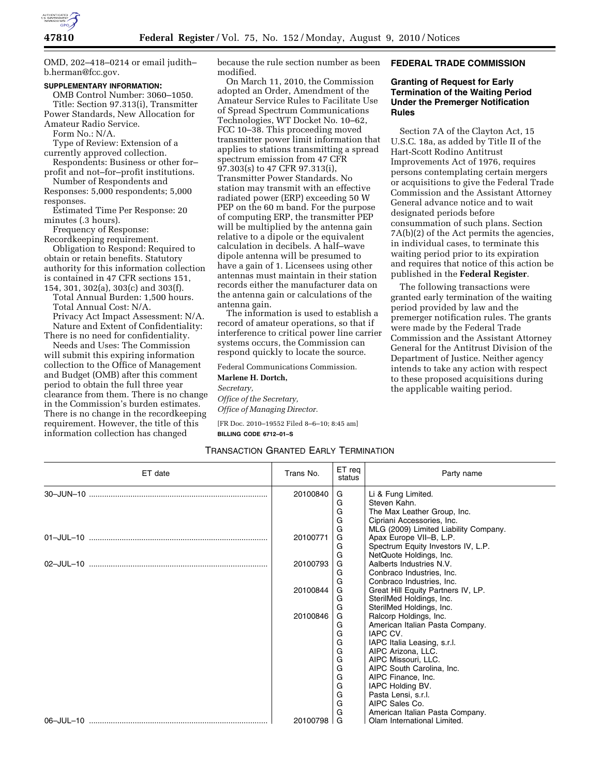

OMD, 202–418–0214 or email judith– b.herman@fcc.gov.

### **SUPPLEMENTARY INFORMATION:**

OMB Control Number: 3060–1050. Title: Section 97.313(i), Transmitter Power Standards, New Allocation for Amateur Radio Service.

Form No.: N/A.

Type of Review: Extension of a currently approved collection.

Respondents: Business or other for– profit and not–for–profit institutions.

Number of Respondents and Responses: 5,000 respondents; 5,000

responses. Estimated Time Per Response: 20 minutes (.3 hours).

Frequency of Response:

Recordkeeping requirement.

Obligation to Respond: Required to obtain or retain benefits. Statutory authority for this information collection is contained in 47 CFR sections 151, 154, 301, 302(a), 303(c) and 303(f).

Total Annual Burden: 1,500 hours. Total Annual Cost: N/A.

Privacy Act Impact Assessment: N/A. Nature and Extent of Confidentiality:

There is no need for confidentiality. Needs and Uses: The Commission will submit this expiring information

collection to the Office of Management and Budget (OMB) after this comment period to obtain the full three year clearance from them. There is no change in the Commission's burden estimates. There is no change in the recordkeeping requirement. However, the title of this information collection has changed

because the rule section number as been modified.

On March 11, 2010, the Commission adopted an Order, Amendment of the Amateur Service Rules to Facilitate Use of Spread Spectrum Communications Technologies, WT Docket No. 10–62, FCC 10–38. This proceeding moved transmitter power limit information that applies to stations transmitting a spread spectrum emission from 47 CFR 97.303(s) to 47 CFR 97.313(i), Transmitter Power Standards. No station may transmit with an effective radiated power (ERP) exceeding 50 W PEP on the 60 m band. For the purpose of computing ERP, the transmitter PEP will be multiplied by the antenna gain relative to a dipole or the equivalent calculation in decibels. A half–wave dipole antenna will be presumed to have a gain of 1. Licensees using other antennas must maintain in their station records either the manufacturer data on the antenna gain or calculations of the antenna gain.

The information is used to establish a record of amateur operations, so that if interference to critical power line carrier systems occurs, the Commission can respond quickly to locate the source.

Federal Communications Commission.

**Marlene H. Dortch,**  *Secretary, Office of the Secretary, Office of Managing Director.*  [FR Doc. 2010–19552 Filed 8–6–10; 8:45 am]

**BILLING CODE 6712–01–S** 

### TRANSACTION GRANTED EARLY TERMINATION

#### **FEDERAL TRADE COMMISSION**

### **Granting of Request for Early Termination of the Waiting Period Under the Premerger Notification Rules**

Section 7A of the Clayton Act, 15 U.S.C. 18a, as added by Title II of the Hart-Scott Rodino Antitrust Improvements Act of 1976, requires persons contemplating certain mergers or acquisitions to give the Federal Trade Commission and the Assistant Attorney General advance notice and to wait designated periods before consummation of such plans. Section 7A(b)(2) of the Act permits the agencies, in individual cases, to terminate this waiting period prior to its expiration and requires that notice of this action be published in the **Federal Register**.

The following transactions were granted early termination of the waiting period provided by law and the premerger notification rules. The grants were made by the Federal Trade Commission and the Assistant Attorney General for the Antitrust Division of the Department of Justice. Neither agency intends to take any action with respect to these proposed acquisitions during the applicable waiting period.

| ET date | Trans No. | ET reg<br>status | Party name                            |
|---------|-----------|------------------|---------------------------------------|
|         | 20100840  | G                | Li & Fung Limited.                    |
|         |           | G                | Steven Kahn.                          |
|         |           | G                | The Max Leather Group, Inc.           |
|         |           | G                | Cipriani Accessories, Inc.            |
|         |           | G                | MLG (2009) Limited Liability Company. |
|         | 20100771  | G                | Apax Europe VII-B, L.P.               |
|         |           | G                | Spectrum Equity Investors IV, L.P.    |
|         |           | G                | NetQuote Holdings, Inc.               |
|         | 20100793  | G                | Aalberts Industries N.V.              |
|         |           | G                | Conbraco Industries, Inc.             |
|         |           | G                | Conbraco Industries, Inc.             |
|         | 20100844  | G                | Great Hill Equity Partners IV, LP.    |
|         |           | G                | SterilMed Holdings, Inc.              |
|         |           | G                | SterilMed Holdings, Inc.              |
|         | 20100846  | G                | Ralcorp Holdings, Inc.                |
|         |           | G                | American Italian Pasta Company.       |
|         |           | G                | IAPC CV.                              |
|         |           | G                | IAPC Italia Leasing, s.r.l.           |
|         |           | G                | AIPC Arizona, LLC.                    |
|         |           | G                | AIPC Missouri, LLC.                   |
|         |           | G                | AIPC South Carolina, Inc.             |
|         |           | G                | AIPC Finance, Inc.                    |
|         |           | G                | IAPC Holding BV.                      |
|         |           | G                | Pasta Lensi, s.r.l.                   |
|         |           | G                | AIPC Sales Co.                        |
|         |           | G                | American Italian Pasta Company.       |
|         | 20100798  | G                | Olam International Limited.           |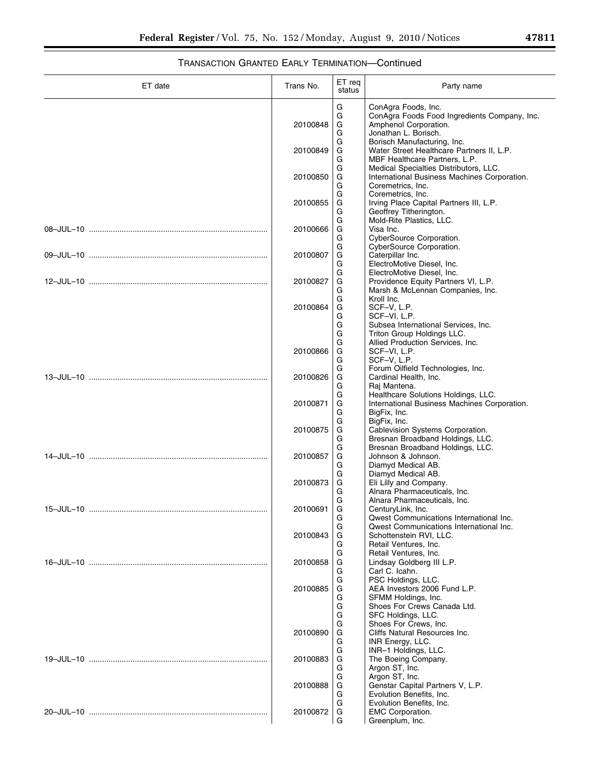| ╸ | r |  |
|---|---|--|
|   |   |  |

# TRANSACTION GRANTED EARLY TERMINATION—Continued

| ET date   | Trans No.            | ET req<br>status | Party name                                                                                                                  |
|-----------|----------------------|------------------|-----------------------------------------------------------------------------------------------------------------------------|
|           | 20100848             | G<br>G<br>G<br>G | ConAgra Foods, Inc.<br>ConAgra Foods Food Ingredients Company, Inc.<br>Amphenol Corporation.<br>Jonathan L. Borisch.        |
|           | 20100849             | G<br>G<br>G      | Borisch Manufacturing, Inc.<br>Water Street Healthcare Partners II, L.P.<br>MBF Healthcare Partners, L.P.                   |
|           | 20100850             | G<br>G<br>G      | Medical Specialties Distributors, LLC.<br>International Business Machines Corporation.<br>Coremetrics, Inc.                 |
|           | 20100855             | G<br>G<br>G      | Coremetrics, Inc.<br>Irving Place Capital Partners III, L.P.<br>Geoffrey Titherington.                                      |
|           | 20100666             | G<br>G<br>G<br>G | Mold-Rite Plastics, LLC.<br>Visa Inc.<br>CyberSource Corporation.<br>CyberSource Corporation.                               |
|           | 20100807             | G<br>G<br>G      | Caterpillar Inc.<br>ElectroMotive Diesel, Inc.<br>ElectroMotive Diesel. Inc.                                                |
|           | 20100827             | G<br>G<br>G      | Providence Equity Partners VI, L.P.<br>Marsh & McLennan Companies, Inc.<br>Kroll Inc.                                       |
|           | 20100864             | G<br>G<br>G<br>G | SCF-V, L.P.<br>SCF-VI, L.P.<br>Subsea International Services, Inc.<br>Triton Group Holdings LLC.                            |
|           | 20100866             | G<br>G<br>G<br>G | Allied Production Services, Inc.<br>SCF-VI, L.P.<br>SCF-V, L.P.<br>Forum Oilfield Technologies, Inc.                        |
|           | 20100826             | G<br>G<br>G      | Cardinal Health, Inc.<br>Raj Mantena.<br>Healthcare Solutions Holdings, LLC.                                                |
|           | 20100871             | G<br>G<br>G      | International Business Machines Corporation.<br>BigFix, Inc.<br>BigFix, Inc.                                                |
|           | 20100875             | G<br>G<br>G      | Cablevision Systems Corporation.<br>Bresnan Broadband Holdings, LLC.<br>Bresnan Broadband Holdings, LLC.                    |
|           | 20100857             | G<br>G<br>G      | Johnson & Johnson.<br>Diamyd Medical AB.<br>Diamyd Medical AB.                                                              |
| 15-JUL-10 | 20100873<br>20100691 | G<br>G<br>G<br>G | Eli Lilly and Company.<br>Alnara Pharmaceuticals, Inc.<br>Alnara Pharmaceuticals, Inc.<br>CenturyLink, Inc.                 |
|           | 20100843             | G<br>G<br>G      | <b>Qwest Communications International Inc.</b><br><b>Owest Communications International Inc.</b><br>Schottenstein RVI, LLC. |
|           | 20100858             | G<br>G<br>G<br>G | Retail Ventures, Inc.<br>Retail Ventures, Inc.<br>Lindsay Goldberg III L.P.<br>Carl C. Icahn.                               |
|           | 20100885             | G<br>G<br>G<br>G | PSC Holdings, LLC.<br>AEA Investors 2006 Fund L.P.<br>SFMM Holdings, Inc.<br>Shoes For Crews Canada Ltd.                    |
|           | 20100890             | G<br>G<br>G<br>G | SFC Holdings, LLC.<br>Shoes For Crews, Inc.<br>Cliffs Natural Resources Inc.<br>INR Energy, LLC.                            |
|           | 20100883             | G<br>G<br>G      | INR-1 Holdings, LLC.<br>The Boeing Company.<br>Argon ST, Inc.                                                               |
|           | 20100888             | G<br>G<br>G      | Argon ST, Inc.<br>Genstar Capital Partners V, L.P.<br>Evolution Benefits, Inc.                                              |
|           | 20100872             | G<br>G<br>G      | Evolution Benefits, Inc.<br><b>EMC Corporation.</b><br>Greenplum, Inc.                                                      |